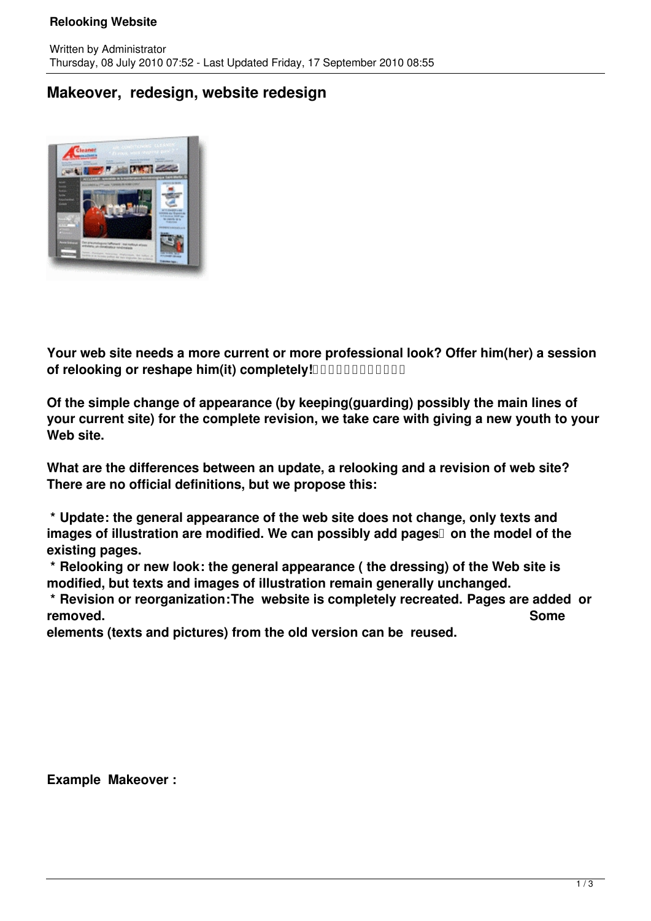## **Relooking Website**

## **Makeover, redesign, website redesign**



**Your web site needs a more current or more professional look? Offer him(her) a session** of relooking or reshape him(it) completely! **Allowing the relationship of relocking or** 

**Of the simple change of appearance (by keeping(guarding) possibly the main lines of your current site) for the complete revision, we take care with giving a new youth to your Web site.**

**What are the differences between an update, a relooking and a revision of web site? There are no official definitions, but we propose this:**

 **\* Update: the general appearance of the web site does not change, only texts and images of illustration are modified. We can possibly add pages on the model of the existing pages.**

 **\* Relooking or new look: the general appearance ( the dressing) of the Web site is modified, but texts and images of illustration remain generally unchanged.** 

 **\* Revision or reorganization:The website is completely recreated. Pages are added or removed. Some**

**elements (texts and pictures) from the old version can be reused.**

**Example Makeover :**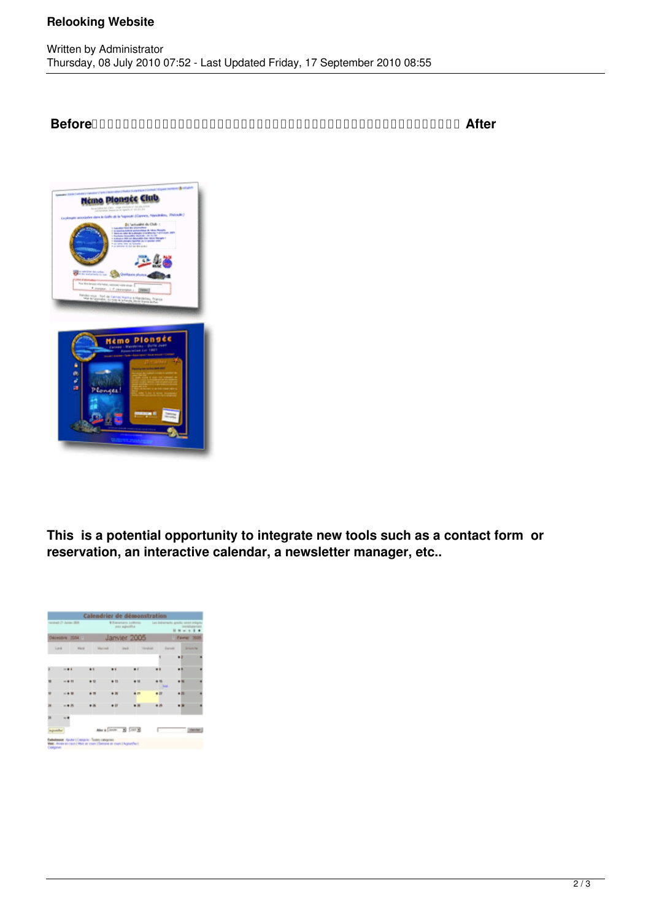## **Relooking Website**

 **Before After**



**This is a potential opportunity to integrate new tools such as a contact form or reservation, an interactive calendar, a newsletter manager, etc..**

|   | ricologi: 21 Janise 2018. |             |                 |                | <b>6 Entramacts contents</b><br>pay agently. |           |         |             | Les delearments gestile series imágina<br>mediatorial<br>$-111$ |  |
|---|---------------------------|-------------|-----------------|----------------|----------------------------------------------|-----------|---------|-------------|-----------------------------------------------------------------|--|
|   | Decembra 2004             |             |                 |                | Janvier 2005                                 |           |         |             | 1 Farmer<br>7000                                                |  |
|   | Lank                      | <b>Hard</b> | <b>Marinezi</b> |                | <b>Just</b>                                  |           | Veskald | <b>Sand</b> | Denverbal                                                       |  |
|   |                           |             |                 |                |                                              |           |         |             |                                                                 |  |
|   | $-0.6$                    |             |                 |                |                                              | $\bullet$ |         |             |                                                                 |  |
|   |                           | $-41$       | $\sim$          | $+11$          |                                              |           | $+ 14$  | $-$         |                                                                 |  |
|   |                           | 4.4 W       |                 | $\blacksquare$ |                                              |           | # 23    |             | $+10$                                                           |  |
| н |                           | 山島市         |                 | $\bullet$ 11   |                                              |           |         |             |                                                                 |  |
|   |                           |             |                 |                |                                              |           |         |             |                                                                 |  |
|   |                           |             |                 |                | Maria Circle 31 (1993)                       |           |         |             |                                                                 |  |